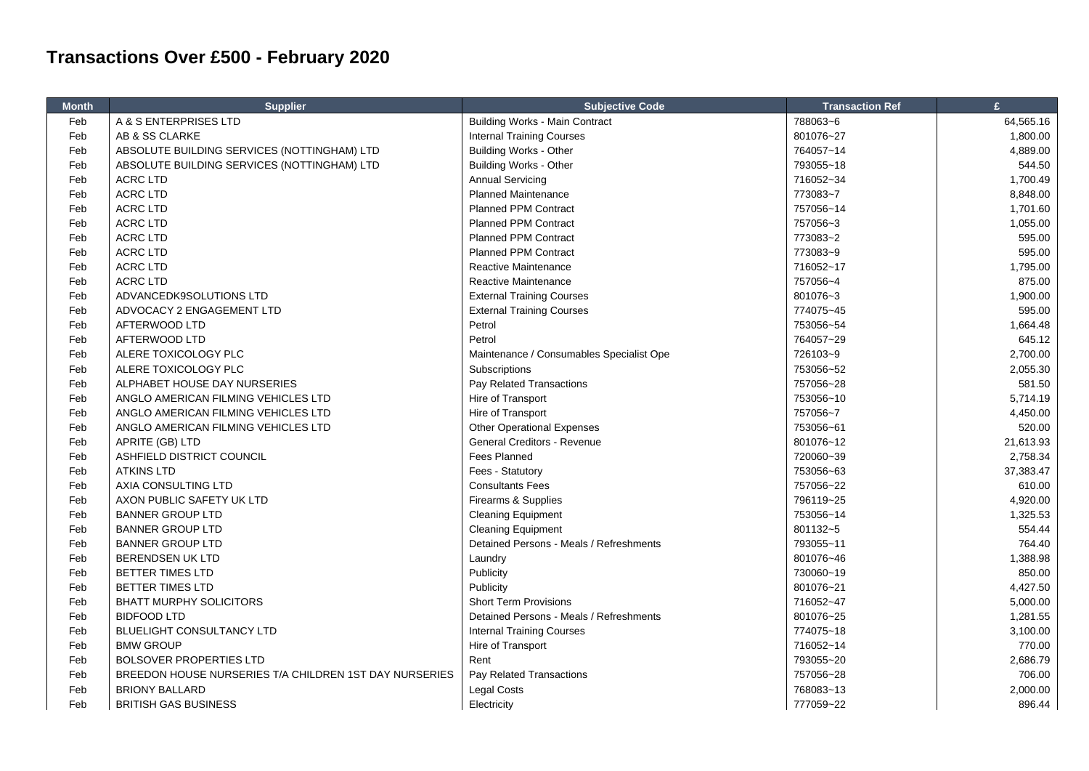## **Transactions Over £500 - February 2020**

| <b>Month</b> | <b>Supplier</b>                                        | <b>Subjective Code</b>                   | <b>Transaction Ref</b> | £         |
|--------------|--------------------------------------------------------|------------------------------------------|------------------------|-----------|
| Feb          | A & S ENTERPRISES LTD                                  | <b>Building Works - Main Contract</b>    | 788063~6               | 64,565.16 |
| Feb          | AB & SS CLARKE                                         | <b>Internal Training Courses</b>         | 801076~27              | 1,800.00  |
| Feb          | ABSOLUTE BUILDING SERVICES (NOTTINGHAM) LTD            | <b>Building Works - Other</b>            | 764057~14              | 4,889.00  |
| Feb          | ABSOLUTE BUILDING SERVICES (NOTTINGHAM) LTD            | <b>Building Works - Other</b>            | 793055~18              | 544.50    |
| Feb          | <b>ACRC LTD</b>                                        | <b>Annual Servicing</b>                  | 716052~34              | 1,700.49  |
| Feb          | <b>ACRC LTD</b>                                        | <b>Planned Maintenance</b>               | 773083~7               | 8,848.00  |
| Feb          | <b>ACRC LTD</b>                                        | <b>Planned PPM Contract</b>              | 757056~14              | 1,701.60  |
| Feb          | <b>ACRC LTD</b>                                        | <b>Planned PPM Contract</b>              | 757056~3               | 1,055.00  |
| Feb          | <b>ACRC LTD</b>                                        | <b>Planned PPM Contract</b>              | 773083~2               | 595.00    |
| Feb          | <b>ACRC LTD</b>                                        | <b>Planned PPM Contract</b>              | 773083~9               | 595.00    |
| Feb          | <b>ACRC LTD</b>                                        | Reactive Maintenance                     | 716052~17              | 1,795.00  |
| Feb          | <b>ACRC LTD</b>                                        | Reactive Maintenance                     | 757056~4               | 875.00    |
| Feb          | ADVANCEDK9SOLUTIONS LTD                                | <b>External Training Courses</b>         | 801076~3               | 1,900.00  |
| Feb          | ADVOCACY 2 ENGAGEMENT LTD                              | <b>External Training Courses</b>         | 774075~45              | 595.00    |
| Feb          | AFTERWOOD LTD                                          | Petrol                                   | 753056~54              | 1,664.48  |
| Feb          | AFTERWOOD LTD                                          | Petrol                                   | 764057~29              | 645.12    |
| Feb          | ALERE TOXICOLOGY PLC                                   | Maintenance / Consumables Specialist Ope | 726103~9               | 2,700.00  |
| Feb          | ALERE TOXICOLOGY PLC                                   | Subscriptions                            | 753056~52              | 2,055.30  |
| Feb          | ALPHABET HOUSE DAY NURSERIES                           | Pay Related Transactions                 | 757056~28              | 581.50    |
| Feb          | ANGLO AMERICAN FILMING VEHICLES LTD                    | Hire of Transport                        | 753056~10              | 5,714.19  |
| Feb          | ANGLO AMERICAN FILMING VEHICLES LTD                    | Hire of Transport                        | 757056~7               | 4,450.00  |
| Feb          | ANGLO AMERICAN FILMING VEHICLES LTD                    | <b>Other Operational Expenses</b>        | 753056~61              | 520.00    |
| Feb          | APRITE (GB) LTD                                        | General Creditors - Revenue              | 801076~12              | 21,613.93 |
| Feb          | ASHFIELD DISTRICT COUNCIL                              | Fees Planned                             | 720060~39              | 2,758.34  |
| Feb          | <b>ATKINS LTD</b>                                      | Fees - Statutory                         | 753056~63              | 37,383.47 |
| Feb          | AXIA CONSULTING LTD                                    | <b>Consultants Fees</b>                  | 757056~22              | 610.00    |
| Feb          | AXON PUBLIC SAFETY UK LTD                              | Firearms & Supplies                      | 796119~25              | 4,920.00  |
| Feb          | <b>BANNER GROUP LTD</b>                                | <b>Cleaning Equipment</b>                | 753056~14              | 1,325.53  |
| Feb          | <b>BANNER GROUP LTD</b>                                | <b>Cleaning Equipment</b>                | 801132~5               | 554.44    |
| Feb          | <b>BANNER GROUP LTD</b>                                | Detained Persons - Meals / Refreshments  | 793055~11              | 764.40    |
| Feb          | <b>BERENDSEN UK LTD</b>                                | Laundry                                  | 801076~46              | 1,388.98  |
| Feb          | BETTER TIMES LTD                                       | Publicity                                | 730060~19              | 850.00    |
| Feb          | <b>BETTER TIMES LTD</b>                                | Publicity                                | 801076~21              | 4,427.50  |
| Feb          | <b>BHATT MURPHY SOLICITORS</b>                         | <b>Short Term Provisions</b>             | 716052~47              | 5,000.00  |
| Feb          | <b>BIDFOOD LTD</b>                                     | Detained Persons - Meals / Refreshments  | 801076~25              | 1,281.55  |
| Feb          | <b>BLUELIGHT CONSULTANCY LTD</b>                       | <b>Internal Training Courses</b>         | 774075~18              | 3,100.00  |
| Feb          | <b>BMW GROUP</b>                                       | Hire of Transport                        | 716052~14              | 770.00    |
| Feb          | <b>BOLSOVER PROPERTIES LTD</b>                         | Rent                                     | 793055~20              | 2,686.79  |
| Feb          | BREEDON HOUSE NURSERIES T/A CHILDREN 1ST DAY NURSERIES | Pay Related Transactions                 | 757056~28              | 706.00    |
| Feb          | <b>BRIONY BALLARD</b>                                  | Legal Costs                              | 768083~13              | 2,000.00  |
| Feb          | <b>BRITISH GAS BUSINESS</b>                            | Electricity                              | 777059~22              | 896.44    |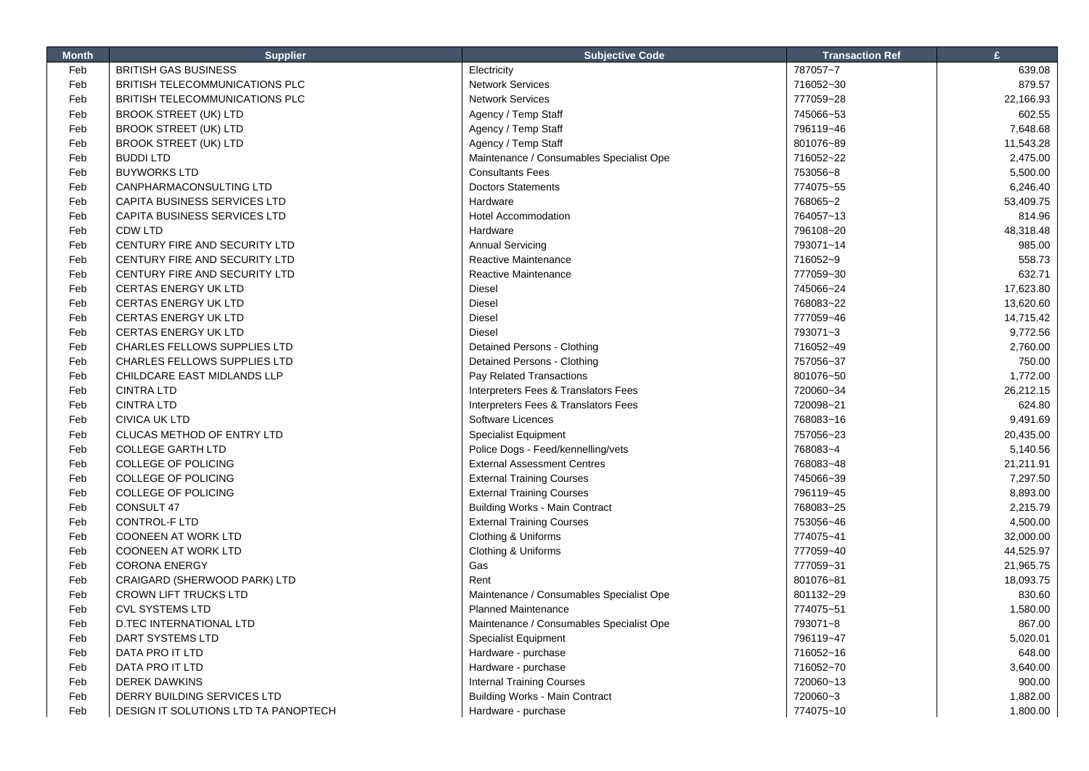| <b>Month</b> | <b>Supplier</b>                      | <b>Subjective Code</b>                   | <b>Transaction Ref</b> | £         |
|--------------|--------------------------------------|------------------------------------------|------------------------|-----------|
| Feb          | <b>BRITISH GAS BUSINESS</b>          | Electricity                              | 787057~7               | 639.08    |
| Feb          | BRITISH TELECOMMUNICATIONS PLC       | Network Services                         | 716052~30              | 879.57    |
| Feb          | BRITISH TELECOMMUNICATIONS PLC       | <b>Network Services</b>                  | 777059~28              | 22,166.93 |
| Feb          | <b>BROOK STREET (UK) LTD</b>         | Agency / Temp Staff                      | 745066~53              | 602.55    |
| Feb          | <b>BROOK STREET (UK) LTD</b>         | Agency / Temp Staff                      | 796119~46              | 7,648.68  |
| Feb          | <b>BROOK STREET (UK) LTD</b>         | Agency / Temp Staff                      | 801076~89              | 11,543.28 |
| Feb          | <b>BUDDI LTD</b>                     | Maintenance / Consumables Specialist Ope | 716052~22              | 2,475.00  |
| Feb          | <b>BUYWORKS LTD</b>                  | <b>Consultants Fees</b>                  | 753056~8               | 5,500.00  |
| Feb          | CANPHARMACONSULTING LTD              | <b>Doctors Statements</b>                | 774075~55              | 6,246.40  |
| Feb          | CAPITA BUSINESS SERVICES LTD         | Hardware                                 | 768065~2               | 53,409.75 |
| Feb          | CAPITA BUSINESS SERVICES LTD         | Hotel Accommodation                      | 764057~13              | 814.96    |
| Feb          | <b>CDW LTD</b>                       | Hardware                                 | 796108~20              | 48,318.48 |
| Feb          | CENTURY FIRE AND SECURITY LTD        | <b>Annual Servicing</b>                  | 793071~14              | 985.00    |
| Feb          | CENTURY FIRE AND SECURITY LTD        | Reactive Maintenance                     | 716052~9               | 558.73    |
| Feb          | CENTURY FIRE AND SECURITY LTD        | Reactive Maintenance                     | 777059~30              | 632.71    |
| Feb          | <b>CERTAS ENERGY UK LTD</b>          | Diesel                                   | 745066~24              | 17,623.80 |
| Feb          | <b>CERTAS ENERGY UK LTD</b>          | <b>Diesel</b>                            | 768083~22              | 13,620.60 |
| Feb          | <b>CERTAS ENERGY UK LTD</b>          | <b>Diesel</b>                            | 777059~46              | 14,715.42 |
| Feb          | <b>CERTAS ENERGY UK LTD</b>          | <b>Diesel</b>                            | 793071~3               | 9,772.56  |
| Feb          | <b>CHARLES FELLOWS SUPPLIES LTD</b>  | Detained Persons - Clothing              | 716052~49              | 2,760.00  |
| Feb          | CHARLES FELLOWS SUPPLIES LTD         | Detained Persons - Clothing              | 757056~37              | 750.00    |
| Feb          | CHILDCARE EAST MIDLANDS LLP          | Pay Related Transactions                 | 801076~50              | 1,772.00  |
| Feb          | <b>CINTRA LTD</b>                    | Interpreters Fees & Translators Fees     | 720060~34              | 26,212.15 |
| Feb          | <b>CINTRA LTD</b>                    | Interpreters Fees & Translators Fees     | 720098~21              | 624.80    |
| Feb          | <b>CIVICA UK LTD</b>                 | Software Licences                        | 768083~16              | 9,491.69  |
| Feb          | CLUCAS METHOD OF ENTRY LTD           | <b>Specialist Equipment</b>              | 757056~23              | 20,435.00 |
| Feb          | <b>COLLEGE GARTH LTD</b>             | Police Dogs - Feed/kennelling/vets       | 768083~4               | 5,140.56  |
| Feb          | <b>COLLEGE OF POLICING</b>           | <b>External Assessment Centres</b>       | 768083~48              | 21,211.91 |
| Feb          | COLLEGE OF POLICING                  | <b>External Training Courses</b>         | 745066~39              | 7,297.50  |
| Feb          | <b>COLLEGE OF POLICING</b>           | <b>External Training Courses</b>         | 796119~45              | 8,893.00  |
| Feb          | CONSULT 47                           | <b>Building Works - Main Contract</b>    | 768083~25              | 2,215.79  |
| Feb          | <b>CONTROL-F LTD</b>                 | <b>External Training Courses</b>         | 753056~46              | 4,500.00  |
| Feb          | <b>COONEEN AT WORK LTD</b>           | Clothing & Uniforms                      | 774075~41              | 32,000.00 |
| Feb          | <b>COONEEN AT WORK LTD</b>           | Clothing & Uniforms                      | 777059~40              | 44,525.97 |
| Feb          | <b>CORONA ENERGY</b>                 | Gas                                      | 777059~31              | 21,965.75 |
| Feb          | CRAIGARD (SHERWOOD PARK) LTD         | Rent                                     | 801076~81              | 18,093.75 |
| Feb          | <b>CROWN LIFT TRUCKS LTD</b>         | Maintenance / Consumables Specialist Ope | 801132~29              | 830.60    |
| Feb          | <b>CVL SYSTEMS LTD</b>               | <b>Planned Maintenance</b>               | 774075~51              | 1,580.00  |
|              |                                      |                                          |                        |           |
| Feb          | <b>D.TEC INTERNATIONAL LTD</b>       | Maintenance / Consumables Specialist Ope | 793071~8               | 867.00    |
| Feb          | DART SYSTEMS LTD                     | <b>Specialist Equipment</b>              | 796119~47              | 5,020.01  |
| Feb          | DATA PRO IT LTD                      | Hardware - purchase                      | 716052~16              | 648.00    |
| Feb          | DATA PRO IT LTD                      | Hardware - purchase                      | 716052~70              | 3,640.00  |
| Feb          | <b>DEREK DAWKINS</b>                 | <b>Internal Training Courses</b>         | 720060~13              | 900.00    |
| Feb          | DERRY BUILDING SERVICES LTD          | <b>Building Works - Main Contract</b>    | 720060~3               | 1,882.00  |
| Feb          | DESIGN IT SOLUTIONS LTD TA PANOPTECH | Hardware - purchase                      | 774075~10              | 1,800.00  |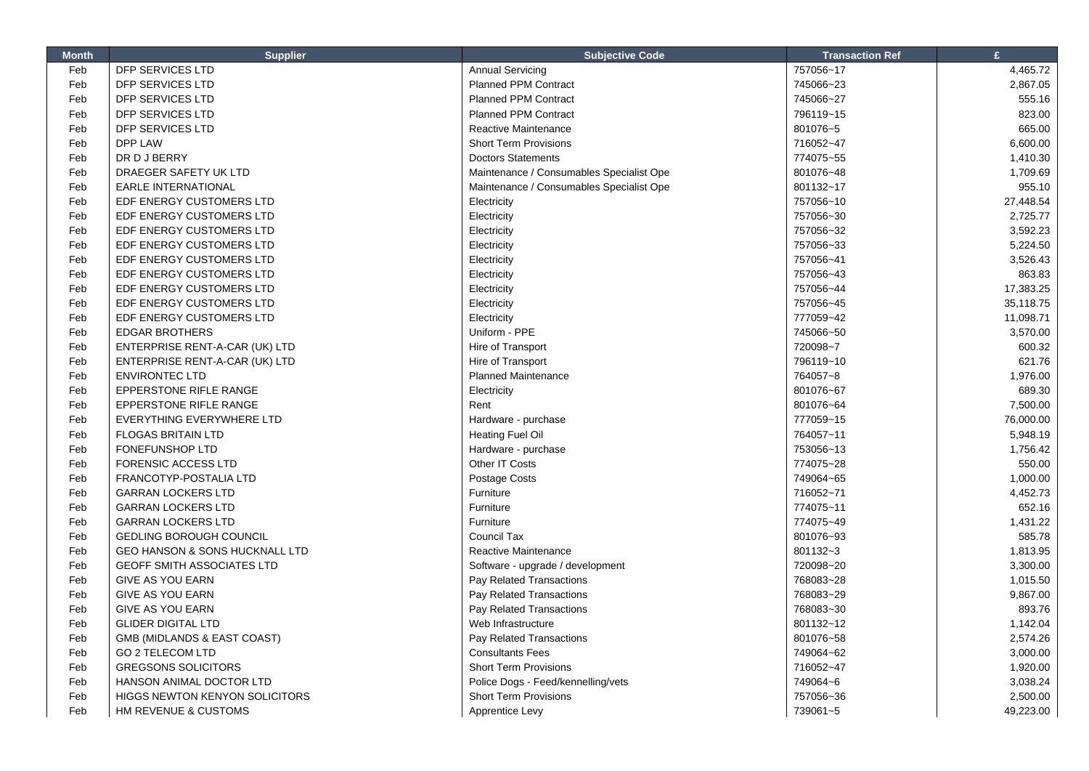| <b>Month</b> | <b>Supplier</b>                           | <b>Subjective Code</b>                   | <b>Transaction Ref</b> | £         |
|--------------|-------------------------------------------|------------------------------------------|------------------------|-----------|
| Feb          | DFP SERVICES LTD                          | <b>Annual Servicing</b>                  | 757056~17              | 4,465.72  |
| Feb          | <b>DFP SERVICES LTD</b>                   | Planned PPM Contract                     | 745066~23              | 2,867.05  |
| Feb          | DFP SERVICES LTD                          | <b>Planned PPM Contract</b>              | 745066~27              | 555.16    |
| Feb          | DFP SERVICES LTD                          | <b>Planned PPM Contract</b>              | 796119~15              | 823.00    |
| Feb          | DFP SERVICES LTD                          | Reactive Maintenance                     | 801076~5               | 665.00    |
| Feb          | DPP LAW                                   | <b>Short Term Provisions</b>             | 716052~47              | 6,600.00  |
| Feb          | DR D J BERRY                              | <b>Doctors Statements</b>                | 774075~55              | 1,410.30  |
| Feb          | DRAEGER SAFETY UK LTD                     | Maintenance / Consumables Specialist Ope | 801076~48              | 1,709.69  |
| Feb          | <b>EARLE INTERNATIONAL</b>                | Maintenance / Consumables Specialist Ope | 801132~17              | 955.10    |
| Feb          | EDF ENERGY CUSTOMERS LTD                  | Electricity                              | 757056~10              | 27,448.54 |
| Feb          | EDF ENERGY CUSTOMERS LTD                  | Electricity                              | 757056~30              | 2,725.77  |
| Feb          | EDF ENERGY CUSTOMERS LTD                  | Electricity                              | 757056~32              | 3.592.23  |
| Feb          | EDF ENERGY CUSTOMERS LTD                  | Electricity                              | 757056~33              | 5,224.50  |
| Feb          | EDF ENERGY CUSTOMERS LTD                  | Electricity                              | 757056~41              | 3,526.43  |
| Feb          | EDF ENERGY CUSTOMERS LTD                  | Electricity                              | 757056~43              | 863.83    |
| Feb          | EDF ENERGY CUSTOMERS LTD                  | Electricity                              | 757056~44              | 17,383.25 |
| Feb          | EDF ENERGY CUSTOMERS LTD                  | Electricity                              | 757056~45              | 35,118.75 |
| Feb          | EDF ENERGY CUSTOMERS LTD                  | Electricity                              | 777059~42              | 11,098.71 |
| Feb          | <b>EDGAR BROTHERS</b>                     | Uniform - PPE                            | 745066~50              | 3,570.00  |
| Feb          | ENTERPRISE RENT-A-CAR (UK) LTD            | Hire of Transport                        | 720098~7               | 600.32    |
| Feb          | ENTERPRISE RENT-A-CAR (UK) LTD            | Hire of Transport                        | 796119~10              | 621.76    |
| Feb          | <b>ENVIRONTEC LTD</b>                     | <b>Planned Maintenance</b>               | 764057~8               | 1,976.00  |
| Feb          | <b>EPPERSTONE RIFLE RANGE</b>             | Electricity                              | 801076~67              | 689.30    |
| Feb          | <b>EPPERSTONE RIFLE RANGE</b>             | Rent                                     | 801076~64              | 7,500.00  |
| Feb          | EVERYTHING EVERYWHERE LTD                 | Hardware - purchase                      | 777059~15              | 76,000.00 |
| Feb          | <b>FLOGAS BRITAIN LTD</b>                 | <b>Heating Fuel Oil</b>                  | 764057~11              | 5,948.19  |
| Feb          | <b>FONEFUNSHOP LTD</b>                    | Hardware - purchase                      | 753056~13              | 1,756.42  |
| Feb          | <b>FORENSIC ACCESS LTD</b>                | Other IT Costs                           | 774075~28              | 550.00    |
| Feb          | FRANCOTYP-POSTALIA LTD                    | Postage Costs                            | 749064~65              | 1,000.00  |
| Feb          | <b>GARRAN LOCKERS LTD</b>                 | Furniture                                | 716052~71              | 4,452.73  |
| Feb          | <b>GARRAN LOCKERS LTD</b>                 | Furniture                                | 774075~11              | 652.16    |
| Feb          | <b>GARRAN LOCKERS LTD</b>                 | Furniture                                | 774075~49              | 1,431.22  |
| Feb          | <b>GEDLING BOROUGH COUNCIL</b>            | Council Tax                              | 801076~93              | 585.78    |
| Feb          | <b>GEO HANSON &amp; SONS HUCKNALL LTD</b> | Reactive Maintenance                     | 801132~3               | 1,813.95  |
| Feb          | <b>GEOFF SMITH ASSOCIATES LTD</b>         | Software - upgrade / development         | 720098~20              | 3,300.00  |
| Feb          | <b>GIVE AS YOU EARN</b>                   | Pay Related Transactions                 | 768083~28              | 1,015.50  |
| Feb          | <b>GIVE AS YOU EARN</b>                   | Pay Related Transactions                 | 768083~29              | 9,867.00  |
| Feb          | <b>GIVE AS YOU EARN</b>                   | Pay Related Transactions                 | 768083~30              | 893.76    |
| Feb          | <b>GLIDER DIGITAL LTD</b>                 | Web Infrastructure                       | 801132~12              | 1,142.04  |
| Feb          | GMB (MIDLANDS & EAST COAST)               | Pay Related Transactions                 | 801076~58              | 2,574.26  |
| Feb          | <b>GO 2 TELECOM LTD</b>                   | <b>Consultants Fees</b>                  | 749064~62              | 3,000.00  |
| Feb          | <b>GREGSONS SOLICITORS</b>                | <b>Short Term Provisions</b>             | 716052~47              | 1,920.00  |
| Feb          | HANSON ANIMAL DOCTOR LTD                  | Police Dogs - Feed/kennelling/vets       | 749064~6               | 3,038.24  |
| Feb          | <b>HIGGS NEWTON KENYON SOLICITORS</b>     | <b>Short Term Provisions</b>             | 757056~36              | 2,500.00  |
| Feb          | HM REVENUE & CUSTOMS                      | Apprentice Levy                          | 739061~5               | 49,223.00 |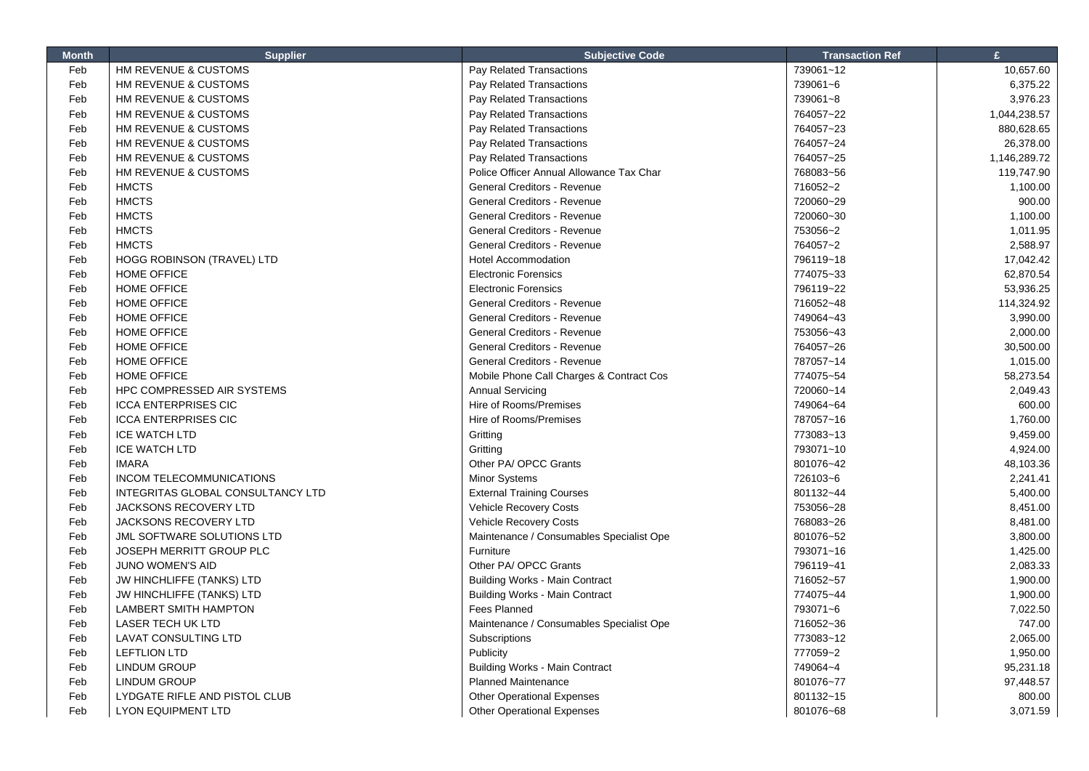| <b>Month</b> | <b>Supplier</b>                   | <b>Subjective Code</b>                   | <b>Transaction Ref</b> | £            |
|--------------|-----------------------------------|------------------------------------------|------------------------|--------------|
| Feb          | HM REVENUE & CUSTOMS              | Pay Related Transactions                 | 739061~12              | 10,657.60    |
| Feb          | HM REVENUE & CUSTOMS              | Pay Related Transactions                 | 739061~6               | 6,375.22     |
| Feb          | HM REVENUE & CUSTOMS              | Pay Related Transactions                 | 739061~8               | 3,976.23     |
| Feb          | HM REVENUE & CUSTOMS              | Pay Related Transactions                 | 764057~22              | 1,044,238.57 |
| Feb          | HM REVENUE & CUSTOMS              | Pay Related Transactions                 | 764057~23              | 880,628.65   |
| Feb          | HM REVENUE & CUSTOMS              | Pay Related Transactions                 | 764057~24              | 26,378.00    |
| Feb          | HM REVENUE & CUSTOMS              | Pay Related Transactions                 | 764057~25              | 1,146,289.72 |
| Feb          | HM REVENUE & CUSTOMS              | Police Officer Annual Allowance Tax Char | 768083~56              | 119,747.90   |
| Feb          | <b>HMCTS</b>                      | <b>General Creditors - Revenue</b>       | 716052~2               | 1,100.00     |
| Feb          | <b>HMCTS</b>                      | General Creditors - Revenue              | 720060~29              | 900.00       |
| Feb          | <b>HMCTS</b>                      | General Creditors - Revenue              | 720060~30              | 1,100.00     |
| Feb          | <b>HMCTS</b>                      | <b>General Creditors - Revenue</b>       | 753056~2               | 1,011.95     |
| Feb          | <b>HMCTS</b>                      | General Creditors - Revenue              | 764057~2               | 2,588.97     |
| Feb          | HOGG ROBINSON (TRAVEL) LTD        | <b>Hotel Accommodation</b>               | 796119~18              | 17,042.42    |
| Feb          | <b>HOME OFFICE</b>                | <b>Electronic Forensics</b>              | 774075~33              | 62,870.54    |
| Feb          | <b>HOME OFFICE</b>                | <b>Electronic Forensics</b>              | 796119~22              | 53,936.25    |
| Feb          | <b>HOME OFFICE</b>                | General Creditors - Revenue              | 716052~48              | 114,324.92   |
| Feb          | <b>HOME OFFICE</b>                | <b>General Creditors - Revenue</b>       | 749064~43              | 3,990.00     |
| Feb          | <b>HOME OFFICE</b>                | General Creditors - Revenue              | 753056~43              | 2,000.00     |
| Feb          | <b>HOME OFFICE</b>                | <b>General Creditors - Revenue</b>       | 764057~26              | 30,500.00    |
| Feb          | <b>HOME OFFICE</b>                | General Creditors - Revenue              | 787057~14              | 1,015.00     |
| Feb          | <b>HOME OFFICE</b>                | Mobile Phone Call Charges & Contract Cos | 774075~54              | 58,273.54    |
| Feb          | HPC COMPRESSED AIR SYSTEMS        | <b>Annual Servicing</b>                  | 720060~14              | 2,049.43     |
| Feb          | <b>ICCA ENTERPRISES CIC</b>       | Hire of Rooms/Premises                   | 749064~64              | 600.00       |
| Feb          | <b>ICCA ENTERPRISES CIC</b>       | Hire of Rooms/Premises                   | 787057~16              | 1,760.00     |
| Feb          | <b>ICE WATCH LTD</b>              | Gritting                                 | 773083~13              | 9,459.00     |
| Feb          | <b>ICE WATCH LTD</b>              | Gritting                                 | 793071~10              | 4,924.00     |
| Feb          | <b>IMARA</b>                      | Other PA/ OPCC Grants                    | 801076~42              | 48,103.36    |
| Feb          | INCOM TELECOMMUNICATIONS          | Minor Systems                            | 726103~6               | 2,241.41     |
| Feb          | INTEGRITAS GLOBAL CONSULTANCY LTD | <b>External Training Courses</b>         | 801132~44              | 5,400.00     |
| Feb          | JACKSONS RECOVERY LTD             | Vehicle Recovery Costs                   | 753056~28              | 8,451.00     |
| Feb          | <b>JACKSONS RECOVERY LTD</b>      | <b>Vehicle Recovery Costs</b>            | 768083~26              | 8,481.00     |
| Feb          | JML SOFTWARE SOLUTIONS LTD        | Maintenance / Consumables Specialist Ope | 801076~52              | 3,800.00     |
| Feb          | JOSEPH MERRITT GROUP PLC          | Furniture                                | 793071~16              | 1,425.00     |
| Feb          | JUNO WOMEN'S AID                  | Other PA/ OPCC Grants                    | 796119~41              | 2,083.33     |
| Feb          | <b>JW HINCHLIFFE (TANKS) LTD</b>  | <b>Building Works - Main Contract</b>    | 716052~57              | 1,900.00     |
| Feb          | JW HINCHLIFFE (TANKS) LTD         | <b>Building Works - Main Contract</b>    | 774075~44              | 1,900.00     |
| Feb          | LAMBERT SMITH HAMPTON             | <b>Fees Planned</b>                      | 793071~6               | 7,022.50     |
| Feb          | <b>LASER TECH UK LTD</b>          | Maintenance / Consumables Specialist Ope | 716052~36              | 747.00       |
| Feb          | LAVAT CONSULTING LTD              | Subscriptions                            | 773083~12              | 2,065.00     |
| Feb          | <b>LEFTLION LTD</b>               | Publicity                                | 777059~2               | 1,950.00     |
| Feb          | LINDUM GROUP                      | <b>Building Works - Main Contract</b>    | 749064~4               | 95,231.18    |
| Feb          | <b>LINDUM GROUP</b>               | <b>Planned Maintenance</b>               | 801076~77              | 97,448.57    |
| Feb          | LYDGATE RIFLE AND PISTOL CLUB     | <b>Other Operational Expenses</b>        | 801132~15              | 800.00       |
| Feb          | <b>LYON EQUIPMENT LTD</b>         | <b>Other Operational Expenses</b>        | 801076~68              | 3,071.59     |

Г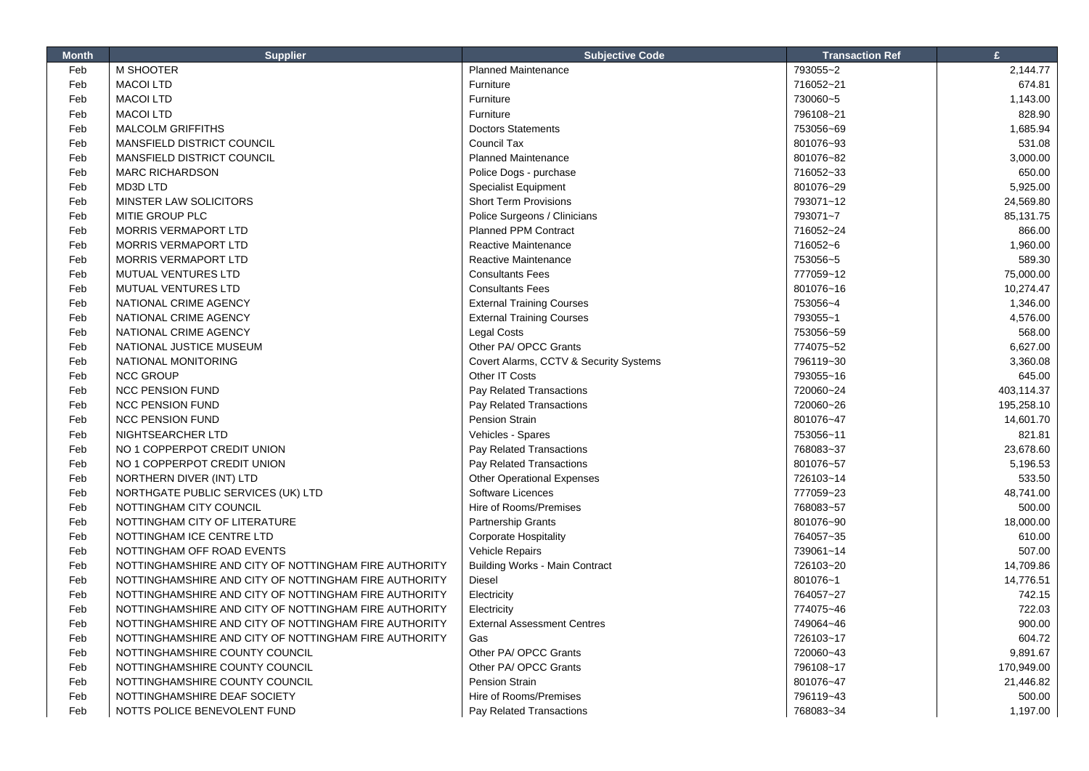| <b>Month</b> | <b>Supplier</b>                                       | <b>Subjective Code</b>                 | <b>Transaction Ref</b> | £          |
|--------------|-------------------------------------------------------|----------------------------------------|------------------------|------------|
| Feb          | M SHOOTER                                             | <b>Planned Maintenance</b>             | 793055~2               | 2,144.77   |
| Feb          | <b>MACOI LTD</b>                                      | Furniture                              | 716052~21              | 674.81     |
| Feb          | <b>MACOI LTD</b>                                      | Furniture                              | 730060~5               | 1,143.00   |
| Feb          | <b>MACOI LTD</b>                                      | Furniture                              | 796108~21              | 828.90     |
| Feb          | <b>MALCOLM GRIFFITHS</b>                              | <b>Doctors Statements</b>              | 753056~69              | 1,685.94   |
| Feb          | MANSFIELD DISTRICT COUNCIL                            | Council Tax                            | 801076~93              | 531.08     |
| Feb          | MANSFIELD DISTRICT COUNCIL                            | <b>Planned Maintenance</b>             | 801076~82              | 3,000.00   |
| Feb          | <b>MARC RICHARDSON</b>                                | Police Dogs - purchase                 | 716052~33              | 650.00     |
| Feb          | MD3D LTD                                              | <b>Specialist Equipment</b>            | 801076~29              | 5,925.00   |
| Feb          | MINSTER LAW SOLICITORS                                | <b>Short Term Provisions</b>           | 793071~12              | 24,569.80  |
| Feb          | MITIE GROUP PLC                                       | Police Surgeons / Clinicians           | 793071~7               | 85,131.75  |
| Feb          | <b>MORRIS VERMAPORT LTD</b>                           | <b>Planned PPM Contract</b>            | 716052~24              | 866.00     |
| Feb          | <b>MORRIS VERMAPORT LTD</b>                           | Reactive Maintenance                   | 716052~6               | 1,960.00   |
| Feb          | <b>MORRIS VERMAPORT LTD</b>                           | Reactive Maintenance                   | 753056~5               | 589.30     |
| Feb          | MUTUAL VENTURES LTD                                   | <b>Consultants Fees</b>                | 777059~12              | 75,000.00  |
| Feb          | MUTUAL VENTURES LTD                                   | <b>Consultants Fees</b>                | 801076~16              | 10,274.47  |
| Feb          | NATIONAL CRIME AGENCY                                 | <b>External Training Courses</b>       | 753056~4               | 1,346.00   |
| Feb          | NATIONAL CRIME AGENCY                                 | <b>External Training Courses</b>       | 793055~1               | 4,576.00   |
| Feb          | NATIONAL CRIME AGENCY                                 | <b>Legal Costs</b>                     | 753056~59              | 568.00     |
| Feb          | NATIONAL JUSTICE MUSEUM                               | Other PA/ OPCC Grants                  | 774075~52              | 6,627.00   |
| Feb          | NATIONAL MONITORING                                   | Covert Alarms, CCTV & Security Systems | 796119~30              | 3,360.08   |
| Feb          | <b>NCC GROUP</b>                                      | Other IT Costs                         | 793055~16              | 645.00     |
| Feb          | <b>NCC PENSION FUND</b>                               | Pay Related Transactions               | 720060~24              | 403,114.37 |
| Feb          | <b>NCC PENSION FUND</b>                               | Pay Related Transactions               | 720060~26              | 195,258.10 |
| Feb          | <b>NCC PENSION FUND</b>                               | <b>Pension Strain</b>                  | 801076~47              | 14,601.70  |
| Feb          | NIGHTSEARCHER LTD                                     | Vehicles - Spares                      | 753056~11              | 821.81     |
| Feb          | NO 1 COPPERPOT CREDIT UNION                           | Pay Related Transactions               | 768083~37              | 23,678.60  |
| Feb          | NO 1 COPPERPOT CREDIT UNION                           | Pay Related Transactions               | 801076~57              | 5,196.53   |
| Feb          | NORTHERN DIVER (INT) LTD                              | <b>Other Operational Expenses</b>      | 726103~14              | 533.50     |
| Feb          | NORTHGATE PUBLIC SERVICES (UK) LTD                    | Software Licences                      | 777059~23              | 48,741.00  |
| Feb          | NOTTINGHAM CITY COUNCIL                               | Hire of Rooms/Premises                 | 768083~57              | 500.00     |
| Feb          | NOTTINGHAM CITY OF LITERATURE                         | Partnership Grants                     | 801076~90              | 18,000.00  |
| Feb          | NOTTINGHAM ICE CENTRE LTD                             | <b>Corporate Hospitality</b>           | 764057~35              | 610.00     |
| Feb          | NOTTINGHAM OFF ROAD EVENTS                            | <b>Vehicle Repairs</b>                 | 739061~14              | 507.00     |
| Feb          | NOTTINGHAMSHIRE AND CITY OF NOTTINGHAM FIRE AUTHORITY | <b>Building Works - Main Contract</b>  | 726103~20              | 14,709.86  |
| Feb          | NOTTINGHAMSHIRE AND CITY OF NOTTINGHAM FIRE AUTHORITY | Diesel                                 | 801076~1               | 14,776.51  |
| Feb          | NOTTINGHAMSHIRE AND CITY OF NOTTINGHAM FIRE AUTHORITY | Electricity                            | 764057~27              | 742.15     |
| Feb          | NOTTINGHAMSHIRE AND CITY OF NOTTINGHAM FIRE AUTHORITY | Electricity                            | 774075~46              | 722.03     |
| Feb          | NOTTINGHAMSHIRE AND CITY OF NOTTINGHAM FIRE AUTHORITY | <b>External Assessment Centres</b>     | 749064~46              | 900.00     |
| Feb          | NOTTINGHAMSHIRE AND CITY OF NOTTINGHAM FIRE AUTHORITY | Gas                                    | 726103~17              | 604.72     |
| Feb          | NOTTINGHAMSHIRE COUNTY COUNCIL                        | Other PA/ OPCC Grants                  | 720060~43              | 9,891.67   |
| Feb          | NOTTINGHAMSHIRE COUNTY COUNCIL                        | Other PA/ OPCC Grants                  | 796108~17              | 170,949.00 |
| Feb          | NOTTINGHAMSHIRE COUNTY COUNCIL                        | Pension Strain                         | 801076~47              | 21,446.82  |
| Feb          | NOTTINGHAMSHIRE DEAF SOCIETY                          | Hire of Rooms/Premises                 | 796119~43              | 500.00     |
| Feb          | NOTTS POLICE BENEVOLENT FUND                          | Pay Related Transactions               | 768083~34              | 1,197.00   |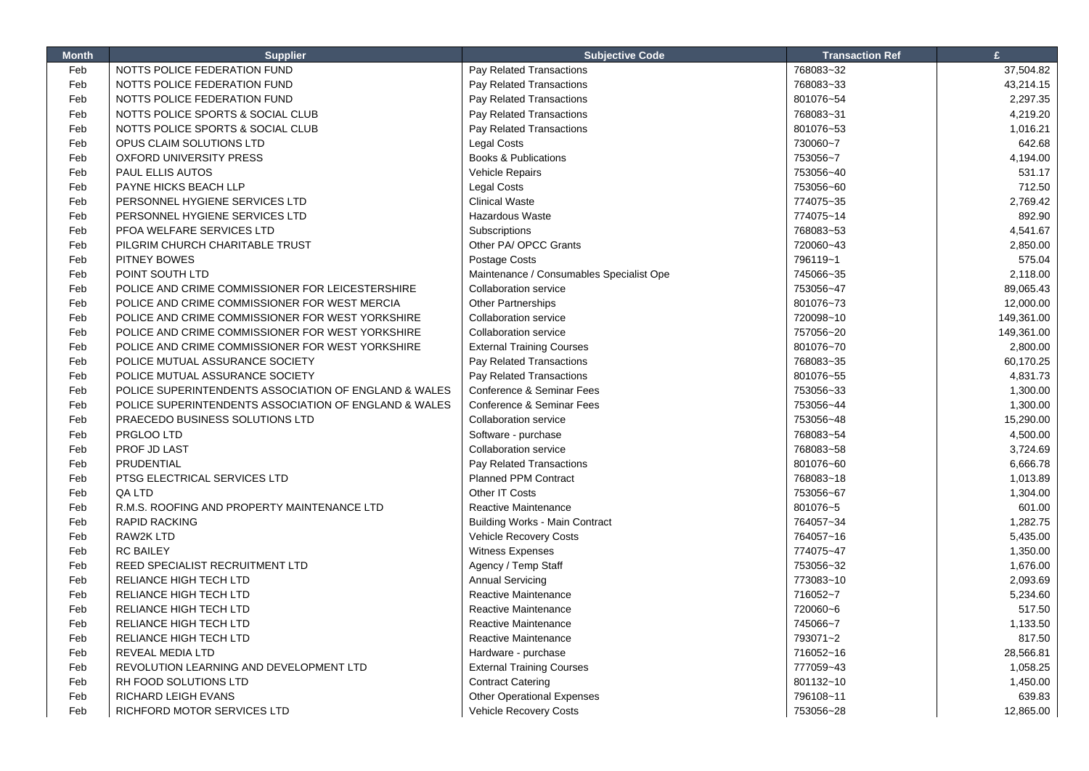| <b>Month</b> | <b>Supplier</b>                                       | <b>Subjective Code</b>                   | <b>Transaction Ref</b> | £                  |
|--------------|-------------------------------------------------------|------------------------------------------|------------------------|--------------------|
| Feb          | NOTTS POLICE FEDERATION FUND                          | Pay Related Transactions                 | 768083~32              | 37,504.82          |
| Feb          | NOTTS POLICE FEDERATION FUND                          | Pay Related Transactions                 | 768083~33              | 43,214.15          |
| Feb          | NOTTS POLICE FEDERATION FUND                          | Pay Related Transactions                 | 801076~54              | 2,297.35           |
| Feb          | NOTTS POLICE SPORTS & SOCIAL CLUB                     | Pay Related Transactions                 | 768083~31              | 4,219.20           |
| Feb          | NOTTS POLICE SPORTS & SOCIAL CLUB                     | Pay Related Transactions                 | 801076~53              | 1,016.21           |
| Feb          | OPUS CLAIM SOLUTIONS LTD                              | <b>Legal Costs</b>                       | 730060~7               | 642.68             |
| Feb          | <b>OXFORD UNIVERSITY PRESS</b>                        | <b>Books &amp; Publications</b>          | 753056~7               | 4,194.00           |
| Feb          | PAUL ELLIS AUTOS                                      | <b>Vehicle Repairs</b>                   | 753056~40              | 531.17             |
| Feb          | PAYNE HICKS BEACH LLP                                 | <b>Legal Costs</b>                       | 753056~60              | 712.50             |
| Feb          | PERSONNEL HYGIENE SERVICES LTD                        | <b>Clinical Waste</b>                    | 774075~35              | 2,769.42           |
| Feb          | PERSONNEL HYGIENE SERVICES LTD                        | Hazardous Waste                          | 774075~14              | 892.90             |
| Feb          | PFOA WELFARE SERVICES LTD                             | Subscriptions                            | 768083~53              | 4,541.67           |
| Feb          | PILGRIM CHURCH CHARITABLE TRUST                       | Other PA/ OPCC Grants                    | 720060~43              | 2,850.00           |
| Feb          | <b>PITNEY BOWES</b>                                   | Postage Costs                            | 796119~1               | 575.04             |
| Feb          | POINT SOUTH LTD                                       | Maintenance / Consumables Specialist Ope | 745066~35              | 2,118.00           |
| Feb          | POLICE AND CRIME COMMISSIONER FOR LEICESTERSHIRE      | <b>Collaboration service</b>             | 753056~47              | 89,065.43          |
| Feb          | POLICE AND CRIME COMMISSIONER FOR WEST MERCIA         | <b>Other Partnerships</b>                | 801076~73              | 12,000.00          |
| Feb          | POLICE AND CRIME COMMISSIONER FOR WEST YORKSHIRE      | Collaboration service                    | 720098~10              | 149,361.00         |
| Feb          | POLICE AND CRIME COMMISSIONER FOR WEST YORKSHIRE      | <b>Collaboration service</b>             | 757056~20              | 149,361.00         |
| Feb          | POLICE AND CRIME COMMISSIONER FOR WEST YORKSHIRE      | <b>External Training Courses</b>         | 801076~70              | 2,800.00           |
| Feb          | POLICE MUTUAL ASSURANCE SOCIETY                       | Pay Related Transactions                 | 768083~35              | 60,170.25          |
| Feb          | POLICE MUTUAL ASSURANCE SOCIETY                       | Pay Related Transactions                 | 801076~55              | 4,831.73           |
| Feb          | POLICE SUPERINTENDENTS ASSOCIATION OF ENGLAND & WALES | Conference & Seminar Fees                | 753056~33              | 1,300.00           |
| Feb          | POLICE SUPERINTENDENTS ASSOCIATION OF ENGLAND & WALES | Conference & Seminar Fees                | 753056~44              | 1,300.00           |
| Feb          | PRAECEDO BUSINESS SOLUTIONS LTD                       | <b>Collaboration service</b>             | 753056~48              | 15,290.00          |
| Feb          | PRGLOO LTD                                            | Software - purchase                      | 768083~54              | 4,500.00           |
| Feb          | PROF JD LAST                                          | <b>Collaboration service</b>             | 768083~58              | 3,724.69           |
| Feb          | PRUDENTIAL                                            | Pay Related Transactions                 | 801076~60              | 6,666.78           |
| Feb          | PTSG ELECTRICAL SERVICES LTD                          | <b>Planned PPM Contract</b>              | 768083~18              | 1,013.89           |
| Feb          | QA LTD                                                | Other IT Costs                           | 753056~67              | 1,304.00           |
| Feb          | R.M.S. ROOFING AND PROPERTY MAINTENANCE LTD           | Reactive Maintenance                     | 801076~5               | 601.00             |
| Feb          | <b>RAPID RACKING</b>                                  | <b>Building Works - Main Contract</b>    | 764057~34              | 1,282.75           |
| Feb          | <b>RAW2K LTD</b>                                      | Vehicle Recovery Costs                   | 764057~16              | 5,435.00           |
| Feb          | <b>RC BAILEY</b>                                      | <b>Witness Expenses</b>                  | 774075~47              | 1,350.00           |
| Feb          | REED SPECIALIST RECRUITMENT LTD                       | Agency / Temp Staff                      | 753056~32              | 1,676.00           |
| Feb          | RELIANCE HIGH TECH LTD                                | <b>Annual Servicing</b>                  | 773083~10              | 2.093.69           |
| Feb          | RELIANCE HIGH TECH LTD                                | Reactive Maintenance                     | 716052~7               | 5,234.60           |
| Feb          | <b>RELIANCE HIGH TECH LTD</b>                         | Reactive Maintenance                     | 720060~6               | 517.50             |
| Feb          | RELIANCE HIGH TECH LTD                                | Reactive Maintenance                     | 745066~7               | 1,133.50           |
| Feb          | RELIANCE HIGH TECH LTD                                | Reactive Maintenance                     | 793071~2               | 817.50             |
| Feb          | REVEAL MEDIA LTD                                      |                                          | 716052~16              | 28,566.81          |
| Feb          | REVOLUTION LEARNING AND DEVELOPMENT LTD               | Hardware - purchase                      | 777059~43              |                    |
| Feb          | RH FOOD SOLUTIONS LTD                                 | <b>External Training Courses</b>         |                        | 1,058.25           |
| Feb          | <b>RICHARD LEIGH EVANS</b>                            | <b>Contract Catering</b>                 | 801132~10<br>796108~11 | 1,450.00<br>639.83 |
|              |                                                       | <b>Other Operational Expenses</b>        |                        |                    |
| Feb          | RICHFORD MOTOR SERVICES LTD                           | Vehicle Recovery Costs                   | 753056~28              | 12,865.00          |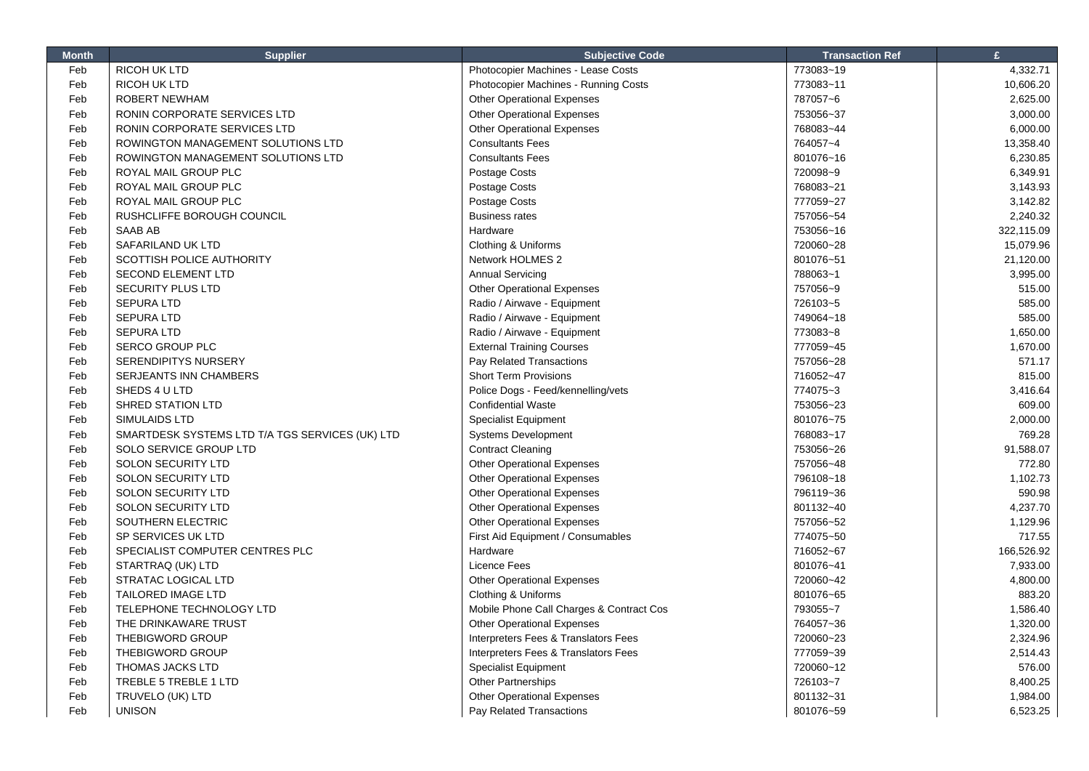| <b>Month</b> | <b>Supplier</b>                                 | <b>Subjective Code</b>                   | <b>Transaction Ref</b> | £          |
|--------------|-------------------------------------------------|------------------------------------------|------------------------|------------|
| Feb          | RICOH UK LTD                                    | Photocopier Machines - Lease Costs       | 773083~19              | 4,332.71   |
| Feb          | <b>RICOH UK LTD</b>                             | Photocopier Machines - Running Costs     | 773083~11              | 10,606.20  |
| Feb          | <b>ROBERT NEWHAM</b>                            | <b>Other Operational Expenses</b>        | 787057~6               | 2,625.00   |
| Feb          | RONIN CORPORATE SERVICES LTD                    | <b>Other Operational Expenses</b>        | 753056~37              | 3,000.00   |
| Feb          | RONIN CORPORATE SERVICES LTD                    | <b>Other Operational Expenses</b>        | 768083~44              | 6,000.00   |
| Feb          | ROWINGTON MANAGEMENT SOLUTIONS LTD              | <b>Consultants Fees</b>                  | 764057~4               | 13,358.40  |
| Feb          | ROWINGTON MANAGEMENT SOLUTIONS LTD              | <b>Consultants Fees</b>                  | 801076~16              | 6,230.85   |
| Feb          | ROYAL MAIL GROUP PLC                            | Postage Costs                            | 720098~9               | 6,349.91   |
| Feb          | ROYAL MAIL GROUP PLC                            | Postage Costs                            | 768083~21              | 3,143.93   |
| Feb          | ROYAL MAIL GROUP PLC                            | Postage Costs                            | 777059~27              | 3,142.82   |
| Feb          | RUSHCLIFFE BOROUGH COUNCIL                      | <b>Business rates</b>                    | 757056~54              | 2,240.32   |
| Feb          | SAAB AB                                         | Hardware                                 | 753056~16              | 322,115.09 |
| Feb          | SAFARILAND UK LTD                               | Clothing & Uniforms                      | 720060~28              | 15,079.96  |
| Feb          | SCOTTISH POLICE AUTHORITY                       | Network HOLMES 2                         | 801076~51              | 21,120.00  |
| Feb          | <b>SECOND ELEMENT LTD</b>                       | <b>Annual Servicing</b>                  | 788063~1               | 3,995.00   |
| Feb          | <b>SECURITY PLUS LTD</b>                        | <b>Other Operational Expenses</b>        | 757056~9               | 515.00     |
| Feb          | <b>SEPURA LTD</b>                               | Radio / Airwave - Equipment              | 726103~5               | 585.00     |
| Feb          | <b>SEPURA LTD</b>                               | Radio / Airwave - Equipment              | 749064~18              | 585.00     |
| Feb          | <b>SEPURA LTD</b>                               | Radio / Airwave - Equipment              | 773083~8               | 1,650.00   |
| Feb          | <b>SERCO GROUP PLC</b>                          | <b>External Training Courses</b>         | 777059~45              | 1,670.00   |
| Feb          | <b>SERENDIPITYS NURSERY</b>                     | Pay Related Transactions                 | 757056~28              | 571.17     |
| Feb          | SERJEANTS INN CHAMBERS                          | <b>Short Term Provisions</b>             | 716052~47              | 815.00     |
| Feb          | SHEDS 4 U LTD                                   | Police Dogs - Feed/kennelling/vets       | 774075~3               | 3,416.64   |
| Feb          | SHRED STATION LTD                               | <b>Confidential Waste</b>                | 753056~23              | 609.00     |
| Feb          | SIMULAIDS LTD                                   | <b>Specialist Equipment</b>              | 801076~75              | 2,000.00   |
| Feb          | SMARTDESK SYSTEMS LTD T/A TGS SERVICES (UK) LTD | <b>Systems Development</b>               | 768083~17              | 769.28     |
| Feb          | SOLO SERVICE GROUP LTD                          | <b>Contract Cleaning</b>                 | 753056~26              | 91,588.07  |
| Feb          | <b>SOLON SECURITY LTD</b>                       | <b>Other Operational Expenses</b>        | 757056~48              | 772.80     |
| Feb          | <b>SOLON SECURITY LTD</b>                       | <b>Other Operational Expenses</b>        | 796108~18              | 1,102.73   |
| Feb          | <b>SOLON SECURITY LTD</b>                       | <b>Other Operational Expenses</b>        | 796119~36              | 590.98     |
| Feb          | SOLON SECURITY LTD                              | <b>Other Operational Expenses</b>        | 801132~40              | 4,237.70   |
| Feb          | SOUTHERN ELECTRIC                               | <b>Other Operational Expenses</b>        | 757056~52              | 1,129.96   |
| Feb          | SP SERVICES UK LTD                              | First Aid Equipment / Consumables        | 774075~50              | 717.55     |
| Feb          | SPECIALIST COMPUTER CENTRES PLC                 | Hardware                                 | 716052~67              | 166,526.92 |
| Feb          | STARTRAQ (UK) LTD                               | Licence Fees                             | 801076~41              | 7,933.00   |
| Feb          | <b>STRATAC LOGICAL LTD</b>                      | <b>Other Operational Expenses</b>        | 720060~42              | 4,800.00   |
| Feb          | <b>TAILORED IMAGE LTD</b>                       | Clothing & Uniforms                      | 801076~65              | 883.20     |
| Feb          | TELEPHONE TECHNOLOGY LTD                        | Mobile Phone Call Charges & Contract Cos | 793055~7               | 1,586.40   |
| Feb          | THE DRINKAWARE TRUST                            | <b>Other Operational Expenses</b>        | 764057~36              | 1,320.00   |
| Feb          | <b>THEBIGWORD GROUP</b>                         | Interpreters Fees & Translators Fees     | 720060~23              | 2,324.96   |
| Feb          | THEBIGWORD GROUP                                | Interpreters Fees & Translators Fees     | 777059~39              | 2,514.43   |
| Feb          | <b>THOMAS JACKS LTD</b>                         | Specialist Equipment                     | 720060~12              | 576.00     |
| Feb          | TREBLE 5 TREBLE 1 LTD                           | <b>Other Partnerships</b>                | 726103~7               | 8,400.25   |
| Feb          | TRUVELO (UK) LTD                                | <b>Other Operational Expenses</b>        | 801132~31              | 1,984.00   |
| Feb          | <b>UNISON</b>                                   | Pay Related Transactions                 | 801076~59              | 6,523.25   |

Г